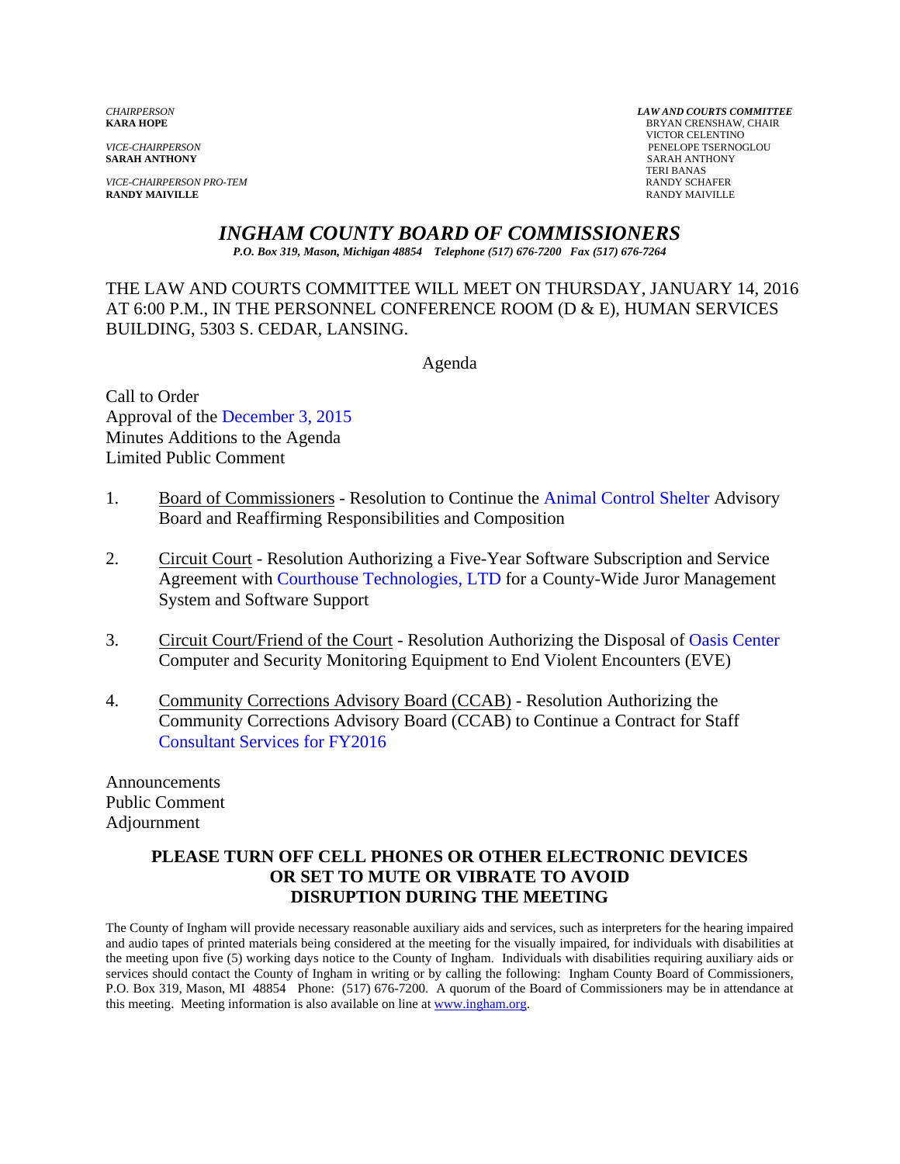**VICE-CHAIRPERSON PRO-TEM RANDY SCHAFER RANDY SCHAFER RANDY SCHAFER RANDY SCHAFER RANDY MAIVILLE RANDY MAIVILLE** RANDY MAIVILLE

*CHAIRPERSON LAW AND COURTS COMMITTEE* **BRYAN CRENSHAW, CHAIR**  VICTOR CELENTINO *VICE-CHAIRPERSON* PENELOPE TSERNOGLOU **SARAH ANTHONY** TERI BANAS

*INGHAM COUNTY BOARD OF COMMISSIONERS* 

*P.O. Box 319, Mason, Michigan 48854 Telephone (517) 676-7200 Fax (517) 676-7264*

THE LAW AND COURTS COMMITTEE WILL MEET ON THURSDAY, JANUARY 14, 2016 AT 6:00 P.M., IN THE PERSONNEL CONFERENCE ROOM (D & E), HUMAN SERVICES BUILDING, 5303 S. CEDAR, LANSING.

Agenda

Call to Order Approval of the December 3, 2015 Minutes A[dditions to the Agenda](#page-1-0)  Limited Public Comment

- 1. Board of Commissioners Resolution to Continue [the Animal Control Shelter Advisory](#page-5-0) Board and Reaffirming Responsibilities and Composition
- 2. Circuit Court Resolution Authorizing a Five-Year Software Subscription and Service Agreement w[ith Courthouse Technologies,](#page-7-0) LTD for a County-Wide Juror Management System and Software Support
- 3. Circuit Court/Friend of the Court Resolution Authorizing the Disposa[l of Oasis Center](#page-10-0) Computer and Security Monitoring Equipment to End Violent Encounters (EVE)
- 4. Community Corrections Advisory Board (CCAB) Resolution Authorizing the [Community Corrections Advisory Board \(CCA](#page-12-0)B) to Continue a Contract for Staff Consultant Services for FY2016

Announcements Public Comment Adjournment

### **PLEASE TURN OFF CELL PHONES OR OTHER ELECTRONIC DEVICES OR SET TO MUTE OR VIBRATE TO AVOID DISRUPTION DURING THE MEETING**

The County of Ingham will provide necessary reasonable auxiliary aids and services, such as interpreters for the hearing impaired and audio tapes of printed materials being considered at the meeting for the visually impaired, for individuals with disabilities at the meeting upon five (5) working days notice to the County of Ingham. Individuals with disabilities requiring auxiliary aids or services should contact the County of Ingham in writing or by calling the following: Ingham County Board of Commissioners, P.O. Box 319, Mason, MI 48854 Phone: (517) 676-7200. A quorum of the Board of Commissioners may be in attendance at this meeting. Meeting information is also available on line at www.ingham.org.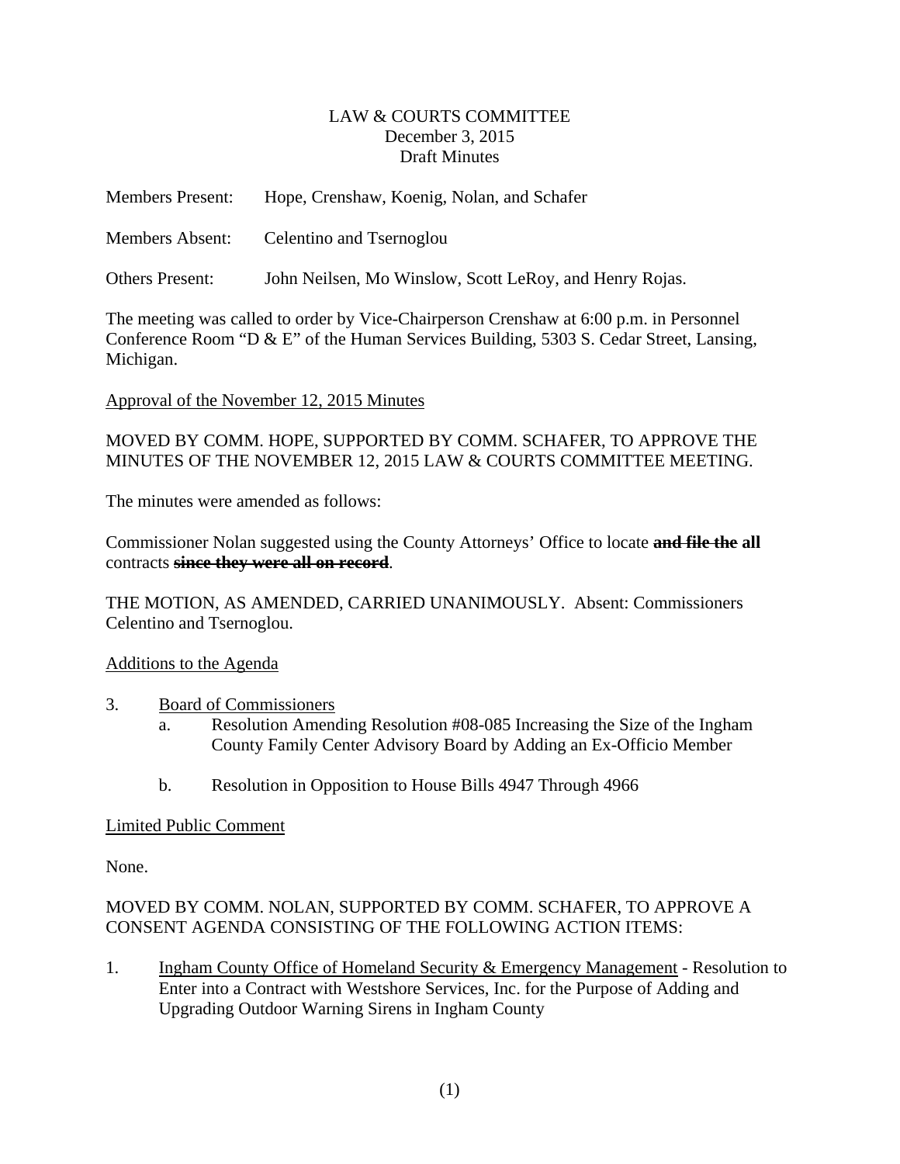### LAW & COURTS COMMITTEE December 3, 2015 Draft Minutes

<span id="page-1-0"></span>

| <b>Members Present:</b> | Hope, Crenshaw, Koenig, Nolan, and Schafer              |
|-------------------------|---------------------------------------------------------|
| <b>Members Absent:</b>  | Celentino and Tsernoglou                                |
| Others Present:         | John Neilsen, Mo Winslow, Scott LeRoy, and Henry Rojas. |

The meeting was called to order by Vice-Chairperson Crenshaw at 6:00 p.m. in Personnel Conference Room "D & E" of the Human Services Building, 5303 S. Cedar Street, Lansing, Michigan.

### Approval of the November 12, 2015 Minutes

MOVED BY COMM. HOPE, SUPPORTED BY COMM. SCHAFER, TO APPROVE THE MINUTES OF THE NOVEMBER 12, 2015 LAW & COURTS COMMITTEE MEETING.

The minutes were amended as follows:

Commissioner Nolan suggested using the County Attorneys' Office to locate **and file the all**  contracts **since they were all on record**.

THE MOTION, AS AMENDED, CARRIED UNANIMOUSLY. Absent: Commissioners Celentino and Tsernoglou.

#### Additions to the Agenda

- 3. Board of Commissioners
	- a. Resolution Amending Resolution #08-085 Increasing the Size of the Ingham County Family Center Advisory Board by Adding an Ex-Officio Member
	- b.Resolution in Opposition to House Bills 4947 Through 4966

#### Limited Public Comment

None.

# MOVED BY COMM. NOLAN, SUPPORTED BY COMM. SCHAFER, TO APPROVE A CONSENT AGENDA CONSISTING OF THE FOLLOWING ACTION ITEMS:

1. Ingham County Office of Homeland Security & Emergency Management - Resolution to Enter into a Contract with Westshore Services, Inc. for the Purpose of Adding and Upgrading Outdoor Warning Sirens in Ingham County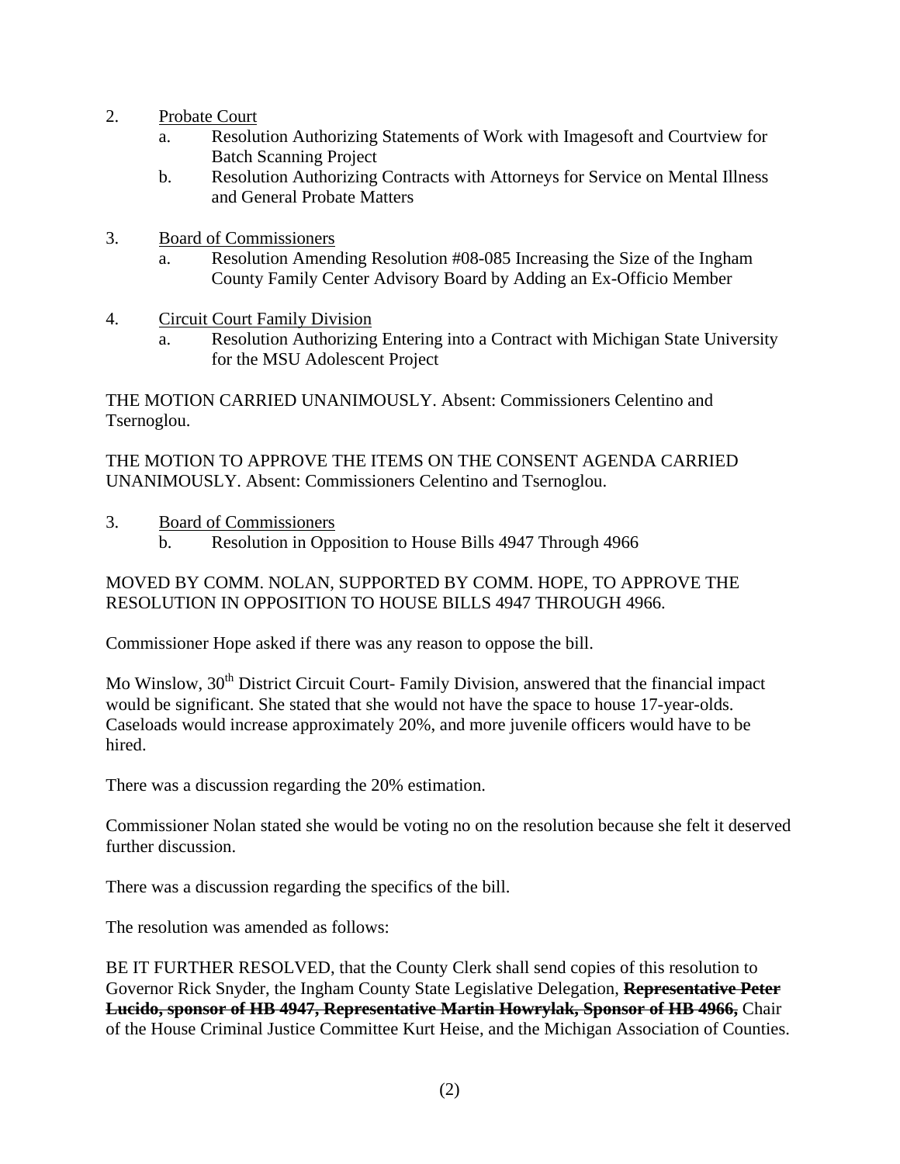- 2. Probate Court
	- a. Resolution Authorizing Statements of Work with Imagesoft and Courtview for Batch Scanning Project
	- b. Resolution Authorizing Contracts with Attorneys for Service on Mental Illness and General Probate Matters
- 3. Board of Commissioners
	- a. Resolution Amending Resolution #08-085 Increasing the Size of the Ingham County Family Center Advisory Board by Adding an Ex-Officio Member
- 4. Circuit Court Family Division
	- a. Resolution Authorizing Entering into a Contract with Michigan State University for the MSU Adolescent Project

THE MOTION CARRIED UNANIMOUSLY. Absent: Commissioners Celentino and Tsernoglou.

THE MOTION TO APPROVE THE ITEMS ON THE CONSENT AGENDA CARRIED UNANIMOUSLY. Absent: Commissioners Celentino and Tsernoglou.

- 3. Board of Commissioners
	- b.Resolution in Opposition to House Bills 4947 Through 4966

### MOVED BY COMM. NOLAN, SUPPORTED BY COMM. HOPE, TO APPROVE THE RESOLUTION IN OPPOSITION TO HOUSE BILLS 4947 THROUGH 4966.

Commissioner Hope asked if there was any reason to oppose the bill.

Mo Winslow, 30<sup>th</sup> District Circuit Court- Family Division, answered that the financial impact would be significant. She stated that she would not have the space to house 17-year-olds. Caseloads would increase approximately 20%, and more juvenile officers would have to be hired.

There was a discussion regarding the 20% estimation.

Commissioner Nolan stated she would be voting no on the resolution because she felt it deserved further discussion.

There was a discussion regarding the specifics of the bill.

The resolution was amended as follows:

BE IT FURTHER RESOLVED, that the County Clerk shall send copies of this resolution to Governor Rick Snyder, the Ingham County State Legislative Delegation, **Representative Peter Lucido, sponsor of HB 4947, Representative Martin Howrylak, Sponsor of HB 4966,** Chair of the House Criminal Justice Committee Kurt Heise, and the Michigan Association of Counties.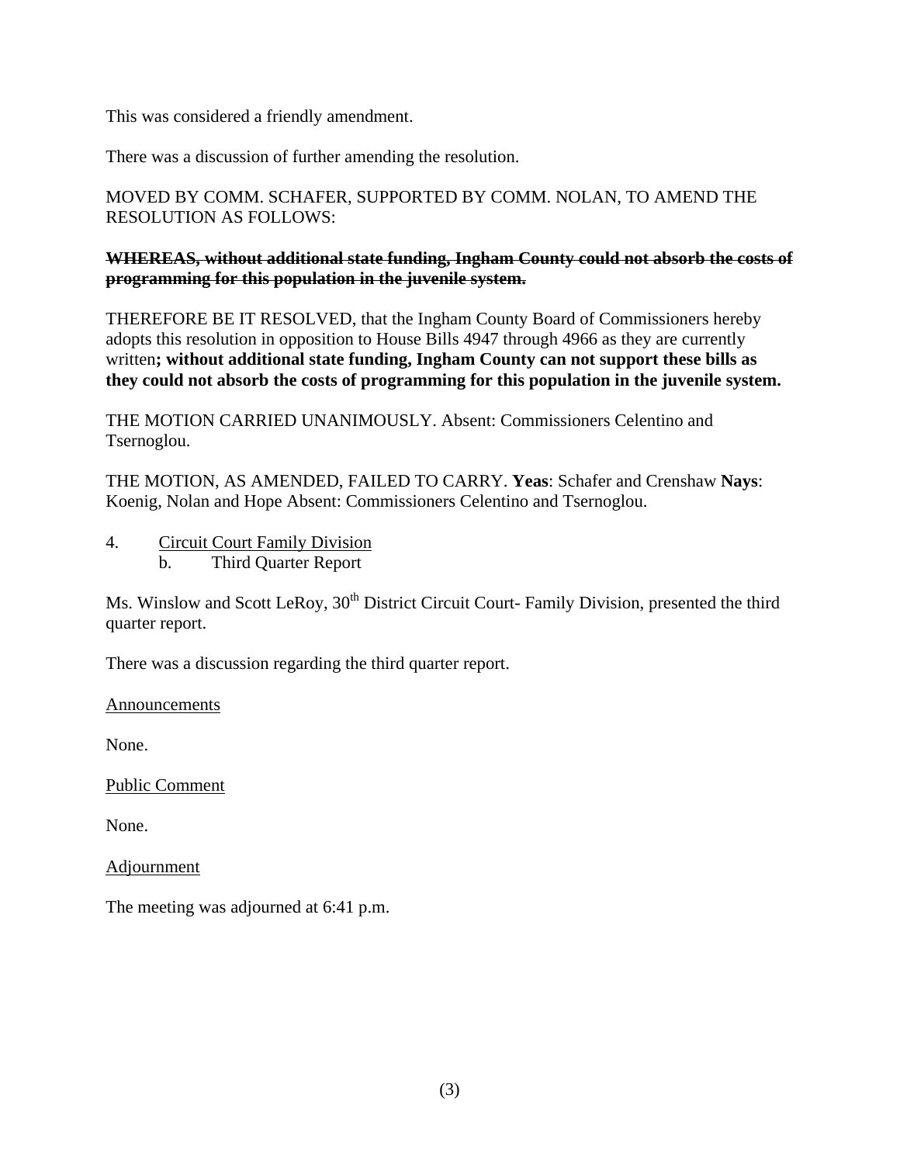This was considered a friendly amendment.

There was a discussion of further amending the resolution.

# MOVED BY COMM. SCHAFER, SUPPORTED BY COMM. NOLAN, TO AMEND THE RESOLUTION AS FOLLOWS:

### **WHEREAS, without additional state funding, Ingham County could not absorb the costs of programming for this population in the juvenile system.**

THEREFORE BE IT RESOLVED, that the Ingham County Board of Commissioners hereby adopts this resolution in opposition to House Bills 4947 through 4966 as they are currently written**; without additional state funding, Ingham County can not support these bills as they could not absorb the costs of programming for this population in the juvenile system.**

THE MOTION CARRIED UNANIMOUSLY. Absent: Commissioners Celentino and Tsernoglou.

THE MOTION, AS AMENDED, FAILED TO CARRY. **Yeas**: Schafer and Crenshaw **Nays**: Koenig, Nolan and Hope Absent: Commissioners Celentino and Tsernoglou.

4. Circuit Court Family Division b. Third Quarter Report

Ms. Winslow and Scott LeRoy, 30<sup>th</sup> District Circuit Court- Family Division, presented the third quarter report.

There was a discussion regarding the third quarter report.

Announcements

None.

Public Comment

None.

Adjournment

The meeting was adjourned at 6:41 p.m.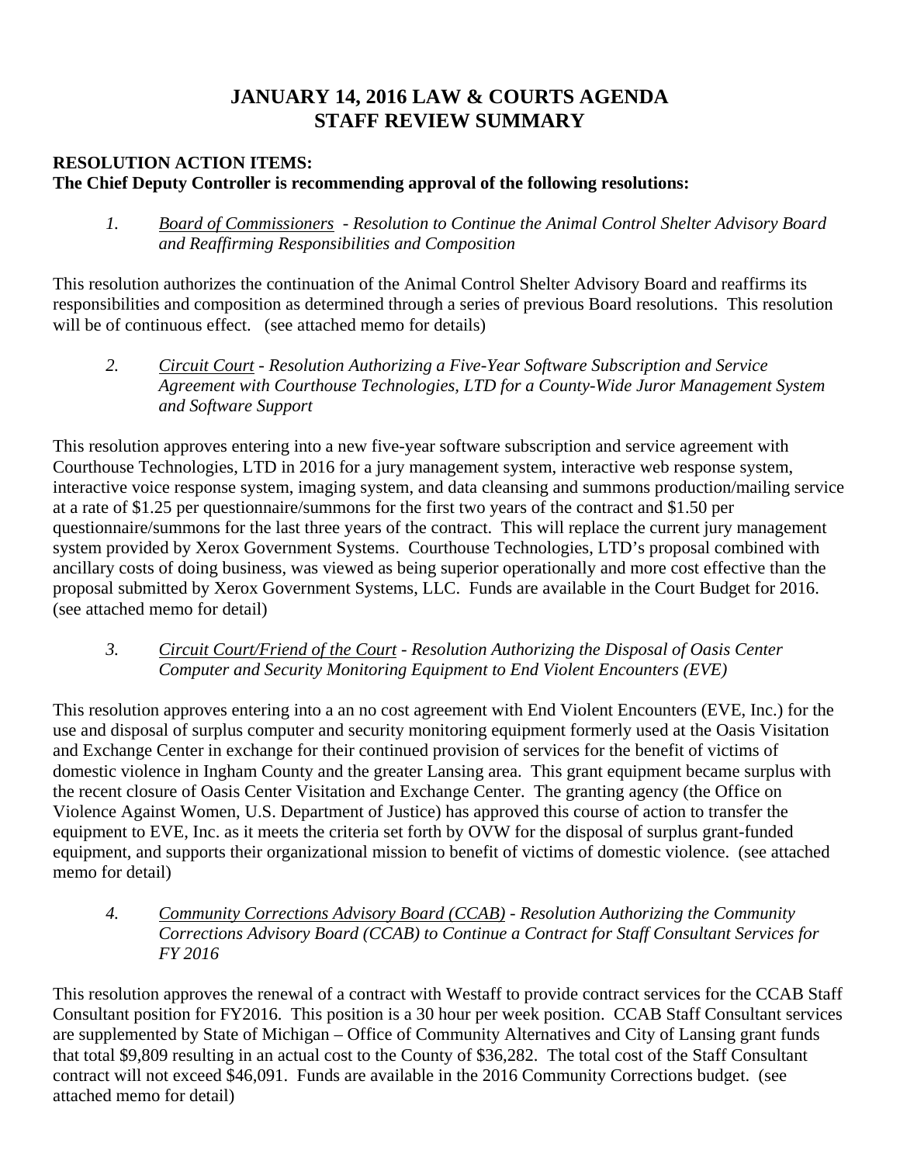# **JANUARY 14, 2016 LAW & COURTS AGENDA STAFF REVIEW SUMMARY**

# **RESOLUTION ACTION ITEMS: The Chief Deputy Controller is recommending approval of the following resolutions:**

 *1. Board of Commissioners - Resolution to Continue the Animal Control Shelter Advisory Board and Reaffirming Responsibilities and Composition* 

This resolution authorizes the continuation of the Animal Control Shelter Advisory Board and reaffirms its responsibilities and composition as determined through a series of previous Board resolutions. This resolution will be of continuous effect. (see attached memo for details)

 *2. Circuit Court - Resolution Authorizing a Five-Year Software Subscription and Service Agreement with Courthouse Technologies, LTD for a County-Wide Juror Management System and Software Support* 

This resolution approves entering into a new five-year software subscription and service agreement with Courthouse Technologies, LTD in 2016 for a jury management system, interactive web response system, interactive voice response system, imaging system, and data cleansing and summons production/mailing service at a rate of \$1.25 per questionnaire/summons for the first two years of the contract and \$1.50 per questionnaire/summons for the last three years of the contract. This will replace the current jury management system provided by Xerox Government Systems. Courthouse Technologies, LTD's proposal combined with ancillary costs of doing business, was viewed as being superior operationally and more cost effective than the proposal submitted by Xerox Government Systems, LLC. Funds are available in the Court Budget for 2016. (see attached memo for detail)

 *3. Circuit Court/Friend of the Court - Resolution Authorizing the Disposal of Oasis Center Computer and Security Monitoring Equipment to End Violent Encounters (EVE)* 

This resolution approves entering into a an no cost agreement with End Violent Encounters (EVE, Inc.) for the use and disposal of surplus computer and security monitoring equipment formerly used at the Oasis Visitation and Exchange Center in exchange for their continued provision of services for the benefit of victims of domestic violence in Ingham County and the greater Lansing area. This grant equipment became surplus with the recent closure of Oasis Center Visitation and Exchange Center. The granting agency (the Office on Violence Against Women, U.S. Department of Justice) has approved this course of action to transfer the equipment to EVE, Inc. as it meets the criteria set forth by OVW for the disposal of surplus grant-funded equipment, and supports their organizational mission to benefit of victims of domestic violence. (see attached memo for detail)

 *4. Community Corrections Advisory Board (CCAB) - Resolution Authorizing the Community Corrections Advisory Board (CCAB) to Continue a Contract for Staff Consultant Services for FY 2016* 

This resolution approves the renewal of a contract with Westaff to provide contract services for the CCAB Staff Consultant position for FY2016. This position is a 30 hour per week position. CCAB Staff Consultant services are supplemented by State of Michigan – Office of Community Alternatives and City of Lansing grant funds that total \$9,809 resulting in an actual cost to the County of \$36,282. The total cost of the Staff Consultant contract will not exceed \$46,091. Funds are available in the 2016 Community Corrections budget. (see attached memo for detail)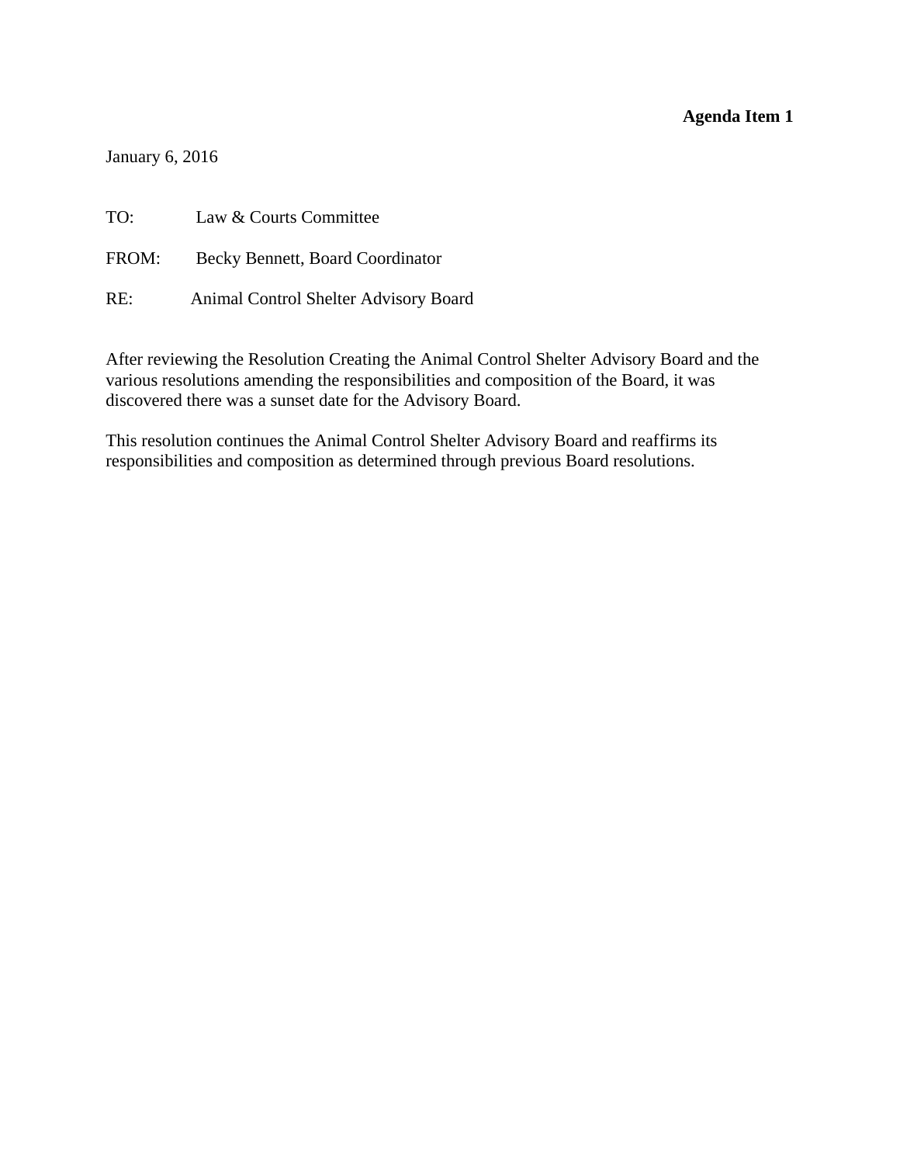<span id="page-5-0"></span>January 6, 2016

TO: Law & Courts Committee FROM: Becky Bennett, Board Coordinator RE: Animal Control Shelter Advisory Board

After reviewing the Resolution Creating the Animal Control Shelter Advisory Board and the various resolutions amending the responsibilities and composition of the Board, it was discovered there was a sunset date for the Advisory Board.

This resolution continues the Animal Control Shelter Advisory Board and reaffirms its responsibilities and composition as determined through previous Board resolutions.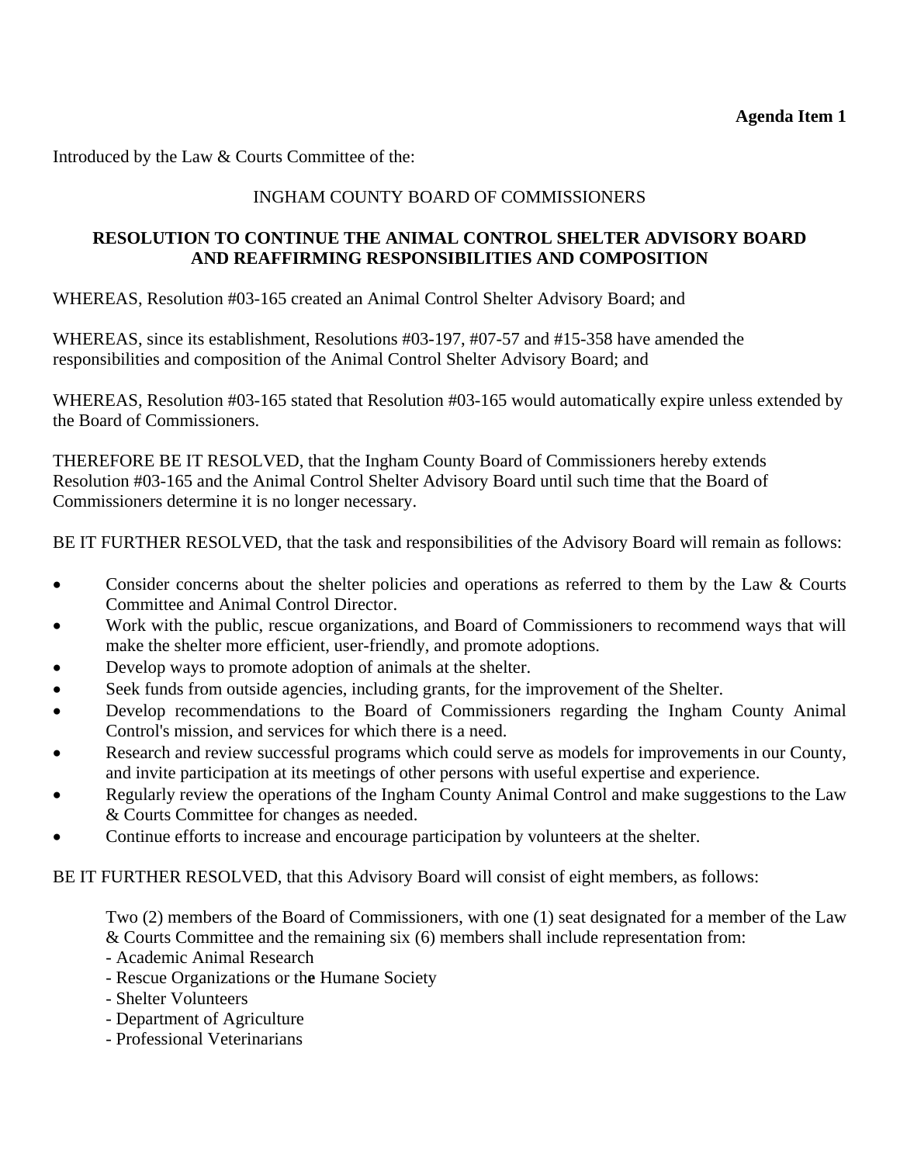Introduced by the Law & Courts Committee of the:

# INGHAM COUNTY BOARD OF COMMISSIONERS

### **RESOLUTION TO CONTINUE THE ANIMAL CONTROL SHELTER ADVISORY BOARD AND REAFFIRMING RESPONSIBILITIES AND COMPOSITION**

WHEREAS, Resolution #03-165 created an Animal Control Shelter Advisory Board; and

WHEREAS, since its establishment, Resolutions #03-197, #07-57 and #15-358 have amended the responsibilities and composition of the Animal Control Shelter Advisory Board; and

WHEREAS, Resolution #03-165 stated that Resolution #03-165 would automatically expire unless extended by the Board of Commissioners.

THEREFORE BE IT RESOLVED, that the Ingham County Board of Commissioners hereby extends Resolution #03-165 and the Animal Control Shelter Advisory Board until such time that the Board of Commissioners determine it is no longer necessary.

BE IT FURTHER RESOLVED, that the task and responsibilities of the Advisory Board will remain as follows:

- Consider concerns about the shelter policies and operations as referred to them by the Law & Courts Committee and Animal Control Director.
- Work with the public, rescue organizations, and Board of Commissioners to recommend ways that will make the shelter more efficient, user-friendly, and promote adoptions.
- Develop ways to promote adoption of animals at the shelter.
- Seek funds from outside agencies, including grants, for the improvement of the Shelter.
- Develop recommendations to the Board of Commissioners regarding the Ingham County Animal Control's mission, and services for which there is a need.
- Research and review successful programs which could serve as models for improvements in our County, and invite participation at its meetings of other persons with useful expertise and experience.
- Regularly review the operations of the Ingham County Animal Control and make suggestions to the Law & Courts Committee for changes as needed.
- Continue efforts to increase and encourage participation by volunteers at the shelter.

BE IT FURTHER RESOLVED, that this Advisory Board will consist of eight members, as follows:

Two (2) members of the Board of Commissioners, with one (1) seat designated for a member of the Law & Courts Committee and the remaining six (6) members shall include representation from:

- Academic Animal Research
- Rescue Organizations or th**e** Humane Society
- Shelter Volunteers
- Department of Agriculture
- Professional Veterinarians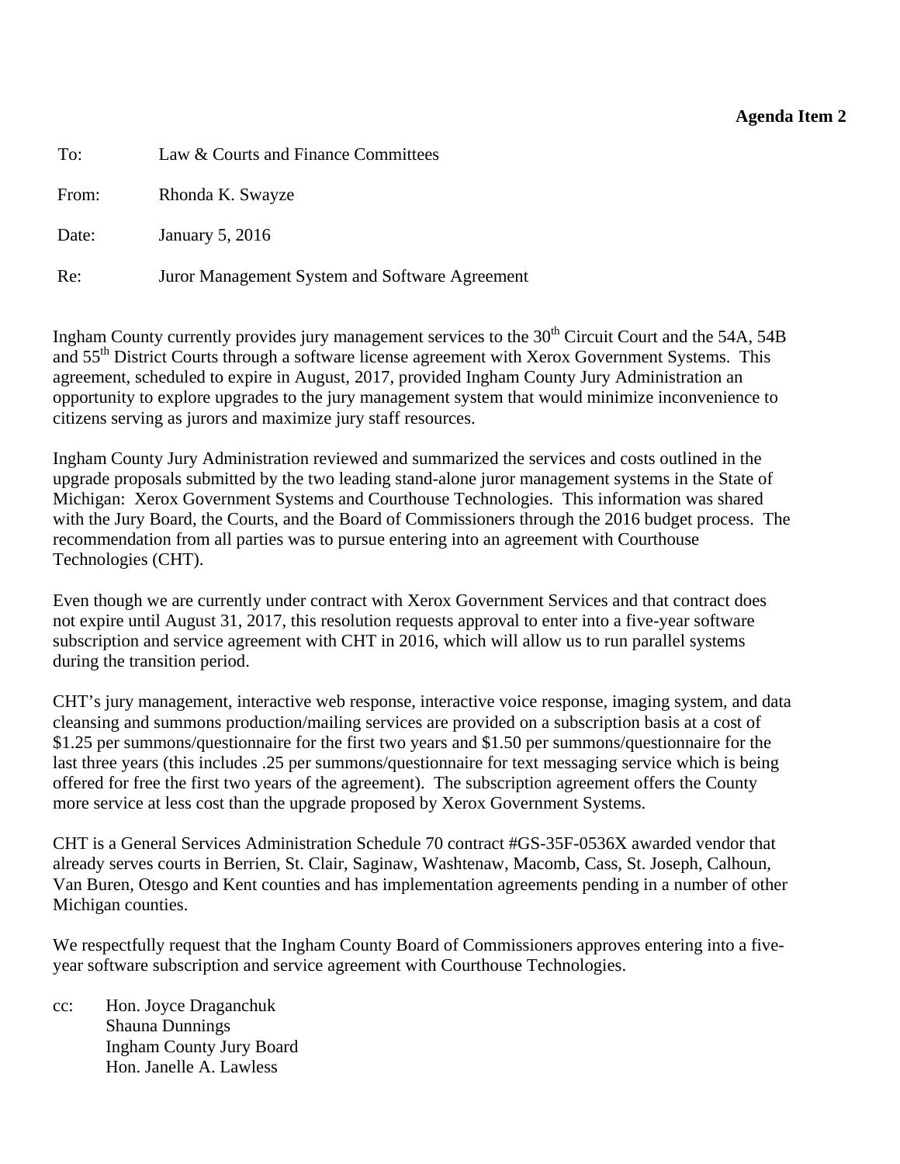<span id="page-7-0"></span>To: Law & Courts and Finance Committees

From: Rhonda K. Swayze

Date: January 5, 2016

Re: Juror Management System and Software Agreement

Ingham County currently provides jury management services to the  $30<sup>th</sup>$  Circuit Court and the 54A, 54B and 55<sup>th</sup> District Courts through a software license agreement with Xerox Government Systems. This agreement, scheduled to expire in August, 2017, provided Ingham County Jury Administration an opportunity to explore upgrades to the jury management system that would minimize inconvenience to citizens serving as jurors and maximize jury staff resources.

Ingham County Jury Administration reviewed and summarized the services and costs outlined in the upgrade proposals submitted by the two leading stand-alone juror management systems in the State of Michigan: Xerox Government Systems and Courthouse Technologies. This information was shared with the Jury Board, the Courts, and the Board of Commissioners through the 2016 budget process. The recommendation from all parties was to pursue entering into an agreement with Courthouse Technologies (CHT).

Even though we are currently under contract with Xerox Government Services and that contract does not expire until August 31, 2017, this resolution requests approval to enter into a five-year software subscription and service agreement with CHT in 2016, which will allow us to run parallel systems during the transition period.

CHT's jury management, interactive web response, interactive voice response, imaging system, and data cleansing and summons production/mailing services are provided on a subscription basis at a cost of \$1.25 per summons/questionnaire for the first two years and \$1.50 per summons/questionnaire for the last three years (this includes .25 per summons/questionnaire for text messaging service which is being offered for free the first two years of the agreement). The subscription agreement offers the County more service at less cost than the upgrade proposed by Xerox Government Systems.

CHT is a General Services Administration Schedule 70 contract #GS-35F-0536X awarded vendor that already serves courts in Berrien, St. Clair, Saginaw, Washtenaw, Macomb, Cass, St. Joseph, Calhoun, Van Buren, Otesgo and Kent counties and has implementation agreements pending in a number of other Michigan counties.

We respectfully request that the Ingham County Board of Commissioners approves entering into a fiveyear software subscription and service agreement with Courthouse Technologies.

cc: Hon. Joyce Draganchuk Shauna Dunnings Ingham County Jury Board Hon. Janelle A. Lawless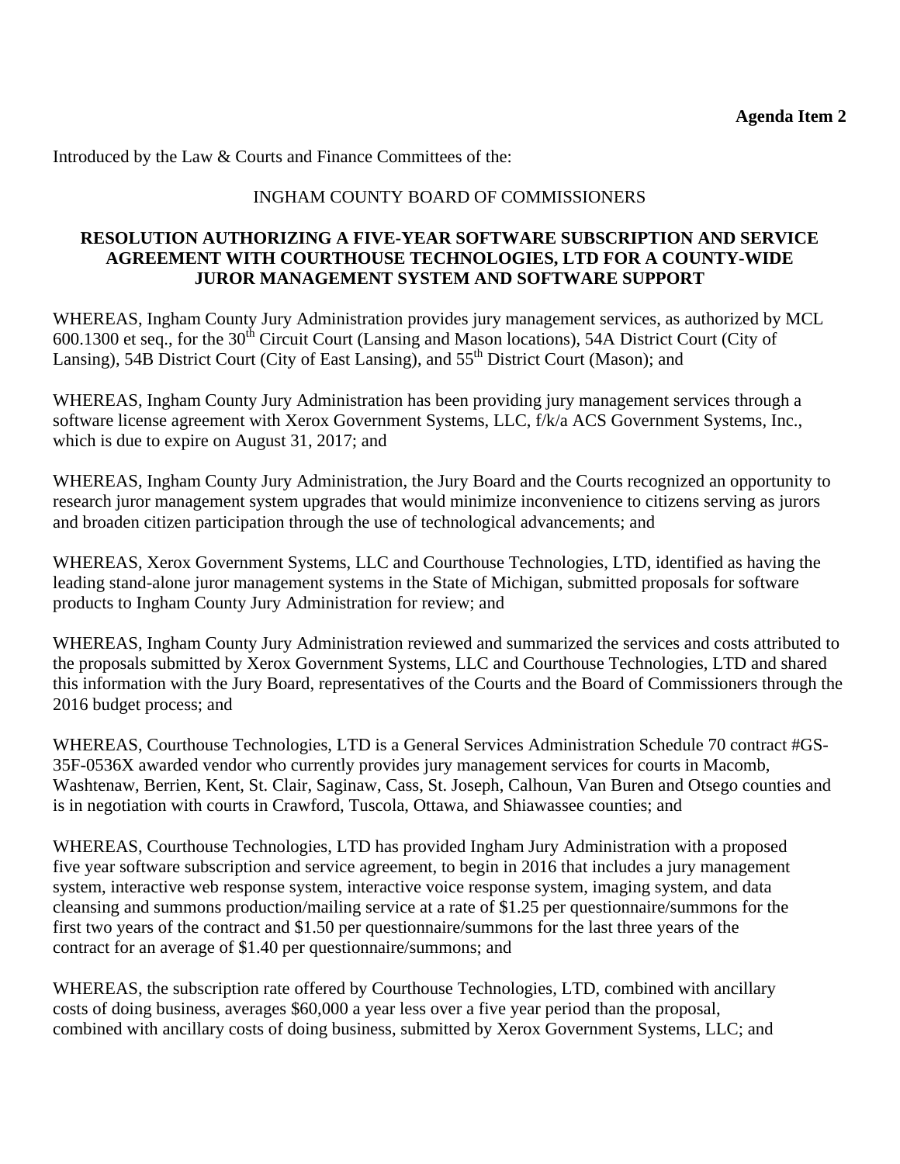Introduced by the Law & Courts and Finance Committees of the:

# INGHAM COUNTY BOARD OF COMMISSIONERS

### **RESOLUTION AUTHORIZING A FIVE-YEAR SOFTWARE SUBSCRIPTION AND SERVICE AGREEMENT WITH COURTHOUSE TECHNOLOGIES, LTD FOR A COUNTY-WIDE JUROR MANAGEMENT SYSTEM AND SOFTWARE SUPPORT**

WHEREAS, Ingham County Jury Administration provides jury management services, as authorized by MCL 600.1300 et seq., for the 30<sup>th</sup> Circuit Court (Lansing and Mason locations), 54A District Court (City of Lansing), 54B District Court (City of East Lansing), and 55<sup>th</sup> District Court (Mason); and

WHEREAS, Ingham County Jury Administration has been providing jury management services through a software license agreement with Xerox Government Systems, LLC, f/k/a ACS Government Systems, Inc., which is due to expire on August 31, 2017; and

WHEREAS, Ingham County Jury Administration, the Jury Board and the Courts recognized an opportunity to research juror management system upgrades that would minimize inconvenience to citizens serving as jurors and broaden citizen participation through the use of technological advancements; and

WHEREAS, Xerox Government Systems, LLC and Courthouse Technologies, LTD, identified as having the leading stand-alone juror management systems in the State of Michigan, submitted proposals for software products to Ingham County Jury Administration for review; and

WHEREAS, Ingham County Jury Administration reviewed and summarized the services and costs attributed to the proposals submitted by Xerox Government Systems, LLC and Courthouse Technologies, LTD and shared this information with the Jury Board, representatives of the Courts and the Board of Commissioners through the 2016 budget process; and

WHEREAS, Courthouse Technologies, LTD is a General Services Administration Schedule 70 contract #GS-35F-0536X awarded vendor who currently provides jury management services for courts in Macomb, Washtenaw, Berrien, Kent, St. Clair, Saginaw, Cass, St. Joseph, Calhoun, Van Buren and Otsego counties and is in negotiation with courts in Crawford, Tuscola, Ottawa, and Shiawassee counties; and

WHEREAS, Courthouse Technologies, LTD has provided Ingham Jury Administration with a proposed five year software subscription and service agreement, to begin in 2016 that includes a jury management system, interactive web response system, interactive voice response system, imaging system, and data cleansing and summons production/mailing service at a rate of \$1.25 per questionnaire/summons for the first two years of the contract and \$1.50 per questionnaire/summons for the last three years of the contract for an average of \$1.40 per questionnaire/summons; and

WHEREAS, the subscription rate offered by Courthouse Technologies, LTD, combined with ancillary costs of doing business, averages \$60,000 a year less over a five year period than the proposal, combined with ancillary costs of doing business, submitted by Xerox Government Systems, LLC; and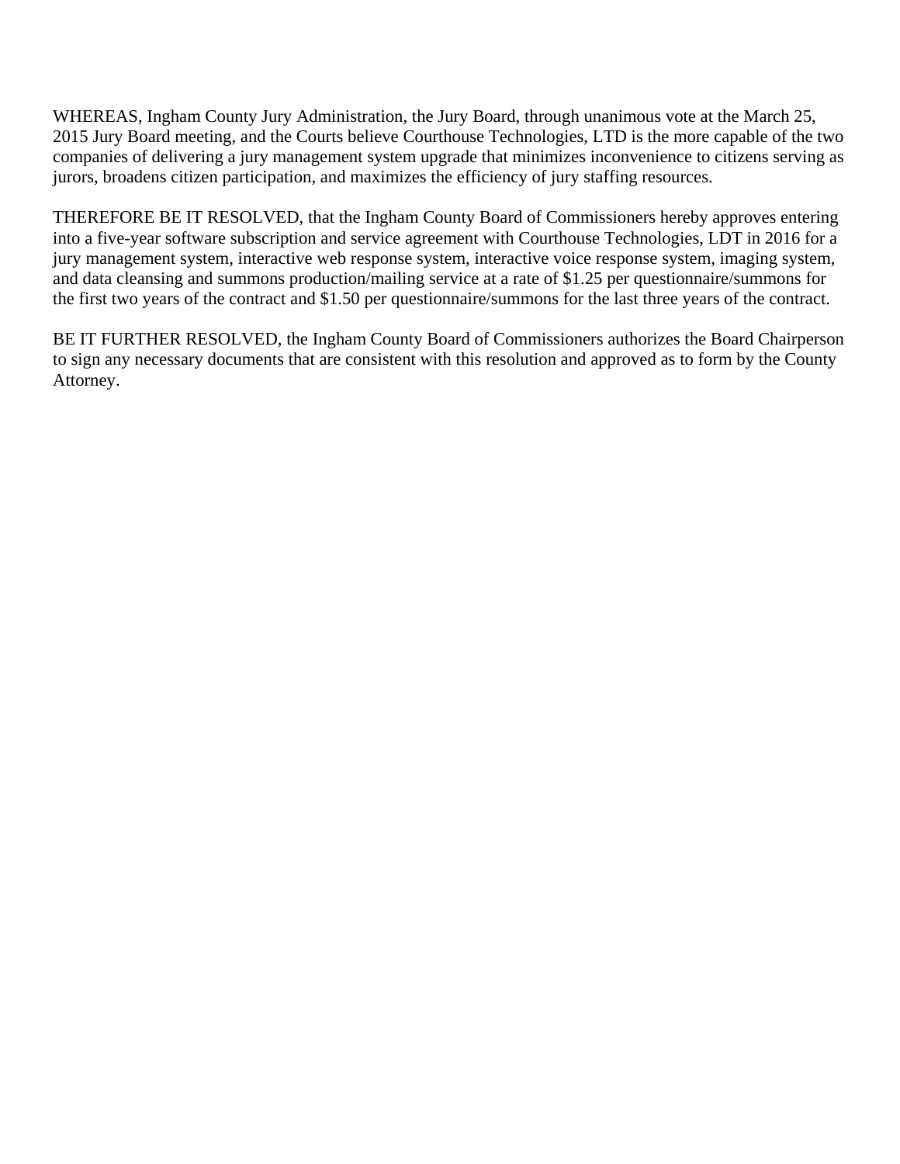WHEREAS, Ingham County Jury Administration, the Jury Board, through unanimous vote at the March 25, 2015 Jury Board meeting, and the Courts believe Courthouse Technologies, LTD is the more capable of the two companies of delivering a jury management system upgrade that minimizes inconvenience to citizens serving as jurors, broadens citizen participation, and maximizes the efficiency of jury staffing resources.

THEREFORE BE IT RESOLVED, that the Ingham County Board of Commissioners hereby approves entering into a five-year software subscription and service agreement with Courthouse Technologies, LDT in 2016 for a jury management system, interactive web response system, interactive voice response system, imaging system, and data cleansing and summons production/mailing service at a rate of \$1.25 per questionnaire/summons for the first two years of the contract and \$1.50 per questionnaire/summons for the last three years of the contract.

BE IT FURTHER RESOLVED, the Ingham County Board of Commissioners authorizes the Board Chairperson to sign any necessary documents that are consistent with this resolution and approved as to form by the County Attorney.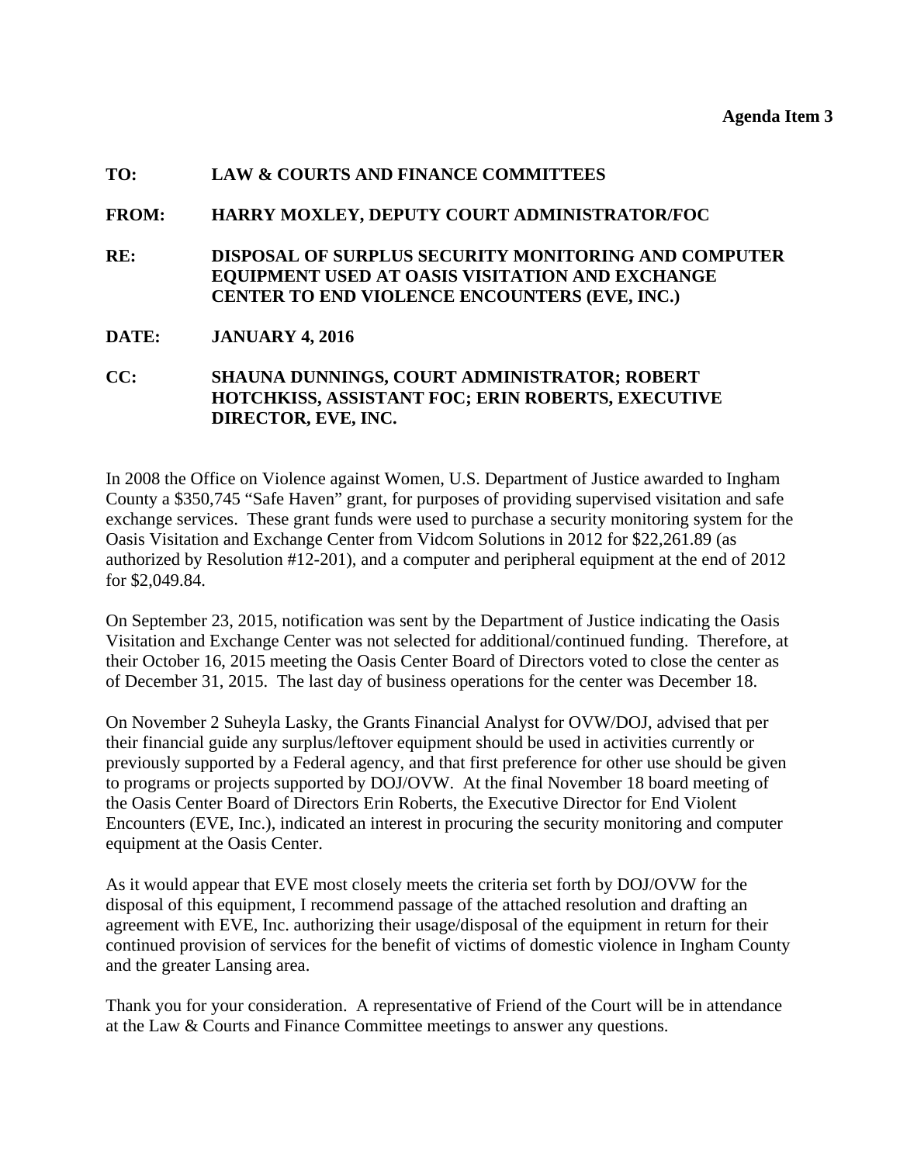#### <span id="page-10-0"></span>**TO: LAW & COURTS AND FINANCE COMMITTEES**

#### **FROM: HARRY MOXLEY, DEPUTY COURT ADMINISTRATOR/FOC**

**RE: DISPOSAL OF SURPLUS SECURITY MONITORING AND COMPUTER EQUIPMENT USED AT OASIS VISITATION AND EXCHANGE CENTER TO END VIOLENCE ENCOUNTERS (EVE, INC.)** 

#### **DATE: JANUARY 4, 2016**

### **CC: SHAUNA DUNNINGS, COURT ADMINISTRATOR; ROBERT HOTCHKISS, ASSISTANT FOC; ERIN ROBERTS, EXECUTIVE DIRECTOR, EVE, INC.**

In 2008 the Office on Violence against Women, U.S. Department of Justice awarded to Ingham County a \$350,745 "Safe Haven" grant, for purposes of providing supervised visitation and safe exchange services. These grant funds were used to purchase a security monitoring system for the Oasis Visitation and Exchange Center from Vidcom Solutions in 2012 for \$22,261.89 (as authorized by Resolution #12-201), and a computer and peripheral equipment at the end of 2012 for \$2,049.84.

On September 23, 2015, notification was sent by the Department of Justice indicating the Oasis Visitation and Exchange Center was not selected for additional/continued funding. Therefore, at their October 16, 2015 meeting the Oasis Center Board of Directors voted to close the center as of December 31, 2015. The last day of business operations for the center was December 18.

On November 2 Suheyla Lasky, the Grants Financial Analyst for OVW/DOJ, advised that per their financial guide any surplus/leftover equipment should be used in activities currently or previously supported by a Federal agency, and that first preference for other use should be given to programs or projects supported by DOJ/OVW. At the final November 18 board meeting of the Oasis Center Board of Directors Erin Roberts, the Executive Director for End Violent Encounters (EVE, Inc.), indicated an interest in procuring the security monitoring and computer equipment at the Oasis Center.

As it would appear that EVE most closely meets the criteria set forth by DOJ/OVW for the disposal of this equipment, I recommend passage of the attached resolution and drafting an agreement with EVE, Inc. authorizing their usage/disposal of the equipment in return for their continued provision of services for the benefit of victims of domestic violence in Ingham County and the greater Lansing area.

Thank you for your consideration. A representative of Friend of the Court will be in attendance at the Law & Courts and Finance Committee meetings to answer any questions.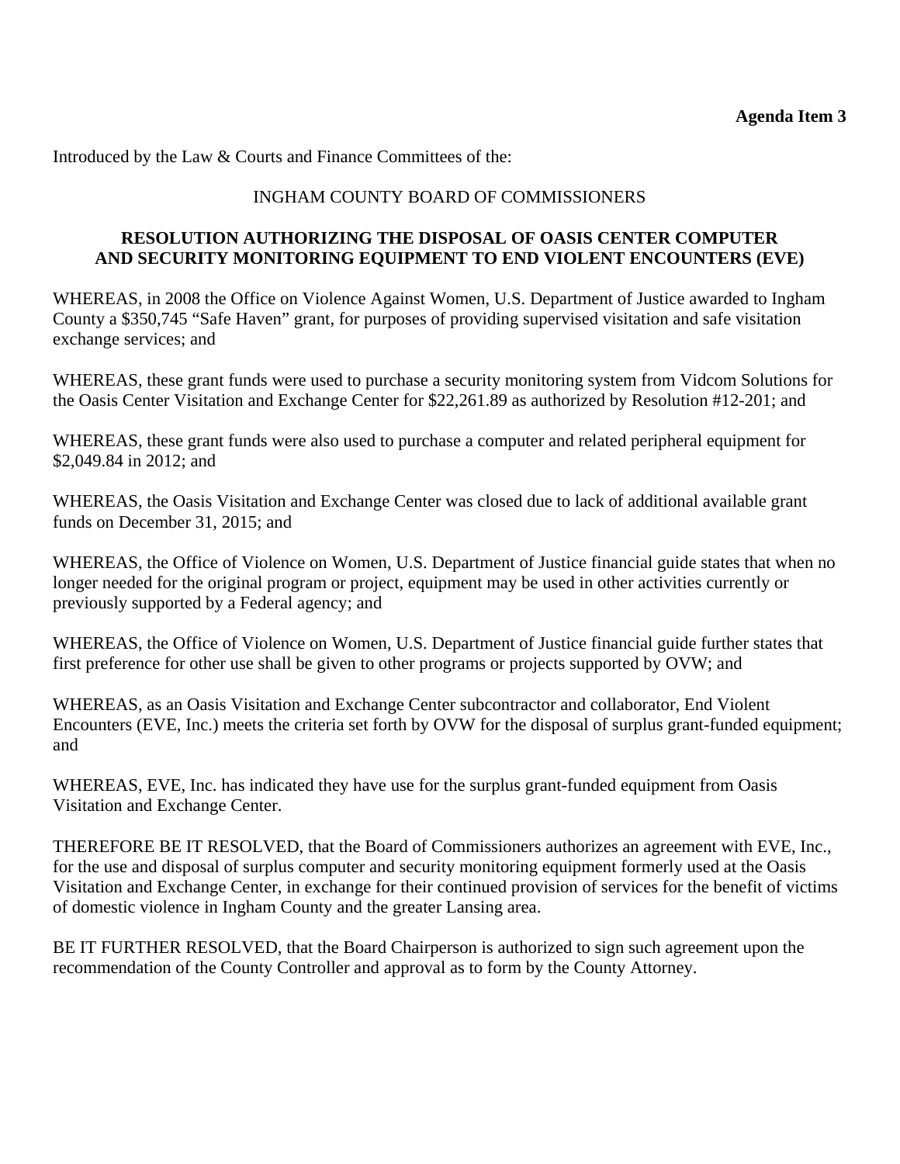Introduced by the Law & Courts and Finance Committees of the:

## INGHAM COUNTY BOARD OF COMMISSIONERS

### **RESOLUTION AUTHORIZING THE DISPOSAL OF OASIS CENTER COMPUTER AND SECURITY MONITORING EQUIPMENT TO END VIOLENT ENCOUNTERS (EVE)**

WHEREAS, in 2008 the Office on Violence Against Women, U.S. Department of Justice awarded to Ingham County a \$350,745 "Safe Haven" grant, for purposes of providing supervised visitation and safe visitation exchange services; and

WHEREAS, these grant funds were used to purchase a security monitoring system from Vidcom Solutions for the Oasis Center Visitation and Exchange Center for \$22,261.89 as authorized by Resolution #12-201; and

WHEREAS, these grant funds were also used to purchase a computer and related peripheral equipment for \$2,049.84 in 2012; and

WHEREAS, the Oasis Visitation and Exchange Center was closed due to lack of additional available grant funds on December 31, 2015; and

WHEREAS, the Office of Violence on Women, U.S. Department of Justice financial guide states that when no longer needed for the original program or project, equipment may be used in other activities currently or previously supported by a Federal agency; and

WHEREAS, the Office of Violence on Women, U.S. Department of Justice financial guide further states that first preference for other use shall be given to other programs or projects supported by OVW; and

WHEREAS, as an Oasis Visitation and Exchange Center subcontractor and collaborator, End Violent Encounters (EVE, Inc.) meets the criteria set forth by OVW for the disposal of surplus grant-funded equipment; and

WHEREAS, EVE, Inc. has indicated they have use for the surplus grant-funded equipment from Oasis Visitation and Exchange Center.

THEREFORE BE IT RESOLVED, that the Board of Commissioners authorizes an agreement with EVE, Inc., for the use and disposal of surplus computer and security monitoring equipment formerly used at the Oasis Visitation and Exchange Center, in exchange for their continued provision of services for the benefit of victims of domestic violence in Ingham County and the greater Lansing area.

BE IT FURTHER RESOLVED, that the Board Chairperson is authorized to sign such agreement upon the recommendation of the County Controller and approval as to form by the County Attorney.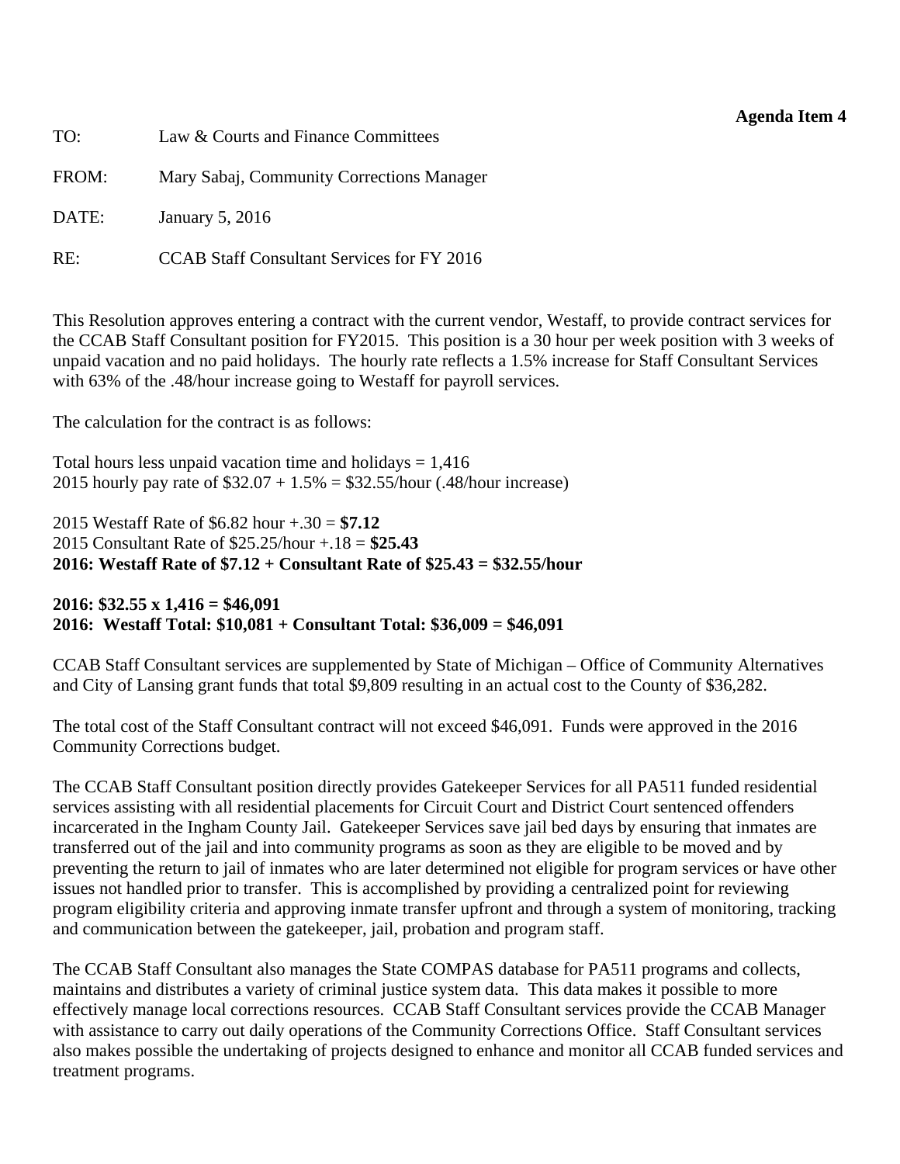<span id="page-12-0"></span>

| TO:   | Law & Courts and Finance Committees               |
|-------|---------------------------------------------------|
| FROM: | Mary Sabaj, Community Corrections Manager         |
| DATE: | January 5, 2016                                   |
| RE:   | <b>CCAB Staff Consultant Services for FY 2016</b> |

This Resolution approves entering a contract with the current vendor, Westaff, to provide contract services for the CCAB Staff Consultant position for FY2015. This position is a 30 hour per week position with 3 weeks of unpaid vacation and no paid holidays. The hourly rate reflects a 1.5% increase for Staff Consultant Services with 63% of the .48/hour increase going to Westaff for payroll services.

The calculation for the contract is as follows:

Total hours less unpaid vacation time and holidays  $= 1,416$ 2015 hourly pay rate of  $$32.07 + 1.5\% = $32.55/h$ our (.48/hour increase)

2015 Westaff Rate of \$6.82 hour +.30 = **\$7.12** 2015 Consultant Rate of \$25.25/hour +.18 = **\$25.43 2016: Westaff Rate of \$7.12 + Consultant Rate of \$25.43 = \$32.55/hour** 

**2016: \$32.55 x 1,416 = \$46,091 2016: Westaff Total: \$10,081 + Consultant Total: \$36,009 = \$46,091** 

CCAB Staff Consultant services are supplemented by State of Michigan – Office of Community Alternatives and City of Lansing grant funds that total \$9,809 resulting in an actual cost to the County of \$36,282.

The total cost of the Staff Consultant contract will not exceed \$46,091. Funds were approved in the 2016 Community Corrections budget.

The CCAB Staff Consultant position directly provides Gatekeeper Services for all PA511 funded residential services assisting with all residential placements for Circuit Court and District Court sentenced offenders incarcerated in the Ingham County Jail. Gatekeeper Services save jail bed days by ensuring that inmates are transferred out of the jail and into community programs as soon as they are eligible to be moved and by preventing the return to jail of inmates who are later determined not eligible for program services or have other issues not handled prior to transfer. This is accomplished by providing a centralized point for reviewing program eligibility criteria and approving inmate transfer upfront and through a system of monitoring, tracking and communication between the gatekeeper, jail, probation and program staff.

The CCAB Staff Consultant also manages the State COMPAS database for PA511 programs and collects, maintains and distributes a variety of criminal justice system data. This data makes it possible to more effectively manage local corrections resources. CCAB Staff Consultant services provide the CCAB Manager with assistance to carry out daily operations of the Community Corrections Office. Staff Consultant services also makes possible the undertaking of projects designed to enhance and monitor all CCAB funded services and treatment programs.